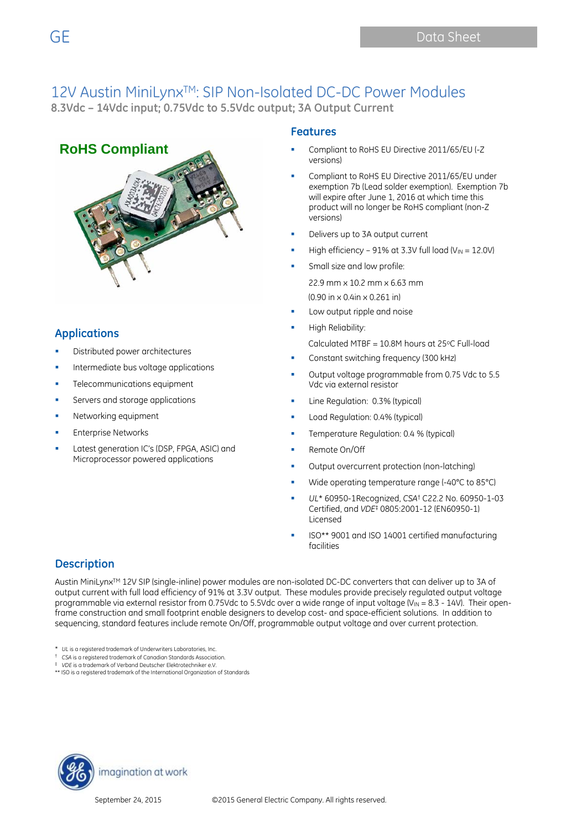# 12V Austin MiniLynx<sup>™</sup>: SIP Non-Isolated DC-DC Power Modules

**8.3Vdc – 14Vdc input; 0.75Vdc to 5.5Vdc output; 3A Output Current** 

### **RoHS Compliant**



### **Applications**

- Distributed power architectures
- Intermediate bus voltage applications
- Telecommunications equipment
- Servers and storage applications
- Networking equipment
- Enterprise Networks
- Latest generation IC's (DSP, FPGA, ASIC) and Microprocessor powered applications

#### **Features**

- Compliant to RoHS EU Directive 2011/65/EU (-Z versions)
- Compliant to RoHS EU Directive 2011/65/EU under exemption 7b (Lead solder exemption). Exemption 7b will expire after June 1, 2016 at which time this product will no longer be RoHS compliant (non-Z versions)
- Delivers up to 3A output current
- High efficiency 91% at 3.3V full load  $(V_{IN} = 12.0V)$
- Small size and low profile:

22.9 mm x 10.2 mm x 6.63 mm

- (0.90 in x 0.4in x 0.261 in)
- Low output ripple and noise
- High Reliability:
	- Calculated MTBF =  $10.8M$  hours at 25 $°C$  Full-load
- Constant switching frequency (300 kHz)
- Output voltage programmable from 0.75 Vdc to 5.5 Vdc via external resistor
- Line Regulation: 0.3% (typical)
- Load Regulation: 0.4% (typical)
- Temperature Regulation: 0.4 % (typical)
- **Remote On/Off**
- Output overcurrent protection (non-latching)
- Wide operating temperature range (-40°C to 85°C)
- *UL*\* 60950-1Recognized, *CSA*† C22.2 No. 60950-1-03 Certified, and *VDE*‡ 0805:2001-12 (EN60950-1) Licensed
- ISO\*\* 9001 and ISO 14001 certified manufacturing facilities

### **Description**

Austin MiniLynx<sup>™</sup> 12V SIP (single-inline) power modules are non-isolated DC-DC converters that can deliver up to 3A of output current with full load efficiency of 91% at 3.3V output. These modules provide precisely regulated output voltage programmable via external resistor from 0.75Vdc to 5.5Vdc over a wide range of input voltage (V<sub>IN</sub> = 8.3 - 14V). Their openframe construction and small footprint enable designers to develop cost- and space-efficient solutions. In addition to sequencing, standard features include remote On/Off, programmable output voltage and over current protection.

- \* *UL* is a registered trademark of Underwriters Laboratories, Inc.
- † *CSA* is a registered trademark of Canadian Standards Association.
- ‡ *VDE* is a trademark of Verband Deutscher Elektrotechniker e.V.
- \*\* ISO is a registered trademark of the International Organization of Standards

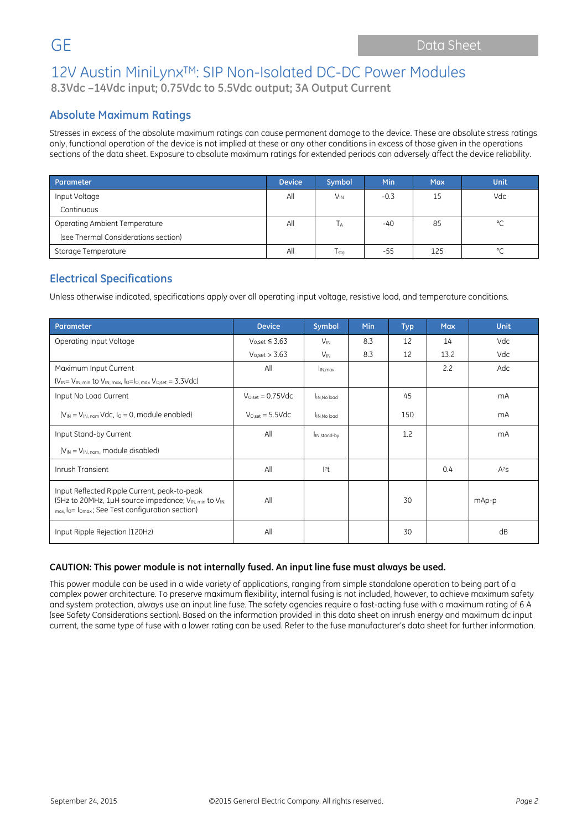### **Absolute Maximum Ratings**

Stresses in excess of the absolute maximum ratings can cause permanent damage to the device. These are absolute stress ratings only, functional operation of the device is not implied at these or any other conditions in excess of those given in the operations sections of the data sheet. Exposure to absolute maximum ratings for extended periods can adversely affect the device reliability.

| Parameter                            | <b>Device</b> | Symbol                | <b>Min</b> | <b>Max</b> | <b>Unit</b> |
|--------------------------------------|---------------|-----------------------|------------|------------|-------------|
| Input Voltage                        | All           | <b>V<sub>IN</sub></b> | $-0.3$     | 15         | Vdc         |
| Continuous                           |               |                       |            |            |             |
| Operating Ambient Temperature        | All           | l A                   | -40        | 85         | $\circ$     |
| (see Thermal Considerations section) |               |                       |            |            |             |
| Storage Temperature                  | All           | $T_{\sf stq}$         | -55        | 125        | $\sim$      |

### **Electrical Specifications**

Unless otherwise indicated, specifications apply over all operating input voltage, resistive load, and temperature conditions.

| Parameter                                                                                                                                                                       | <b>Device</b>                | Symbol                   | Min | <b>Typ</b> | <b>Max</b> | <b>Unit</b> |
|---------------------------------------------------------------------------------------------------------------------------------------------------------------------------------|------------------------------|--------------------------|-----|------------|------------|-------------|
| Operating Input Voltage                                                                                                                                                         | $V_{0,set} \leq 3.63$        | $V_{\text{IN}}$          | 8.3 | 12         | 14         | Vdc         |
|                                                                                                                                                                                 | $V_{O,set} > 3.63$           | $V_{\text{IN}}$          | 8.3 | 12         | 13.2       | Vdc         |
| Maximum Input Current                                                                                                                                                           | All                          | I <sub>IN.max</sub>      |     |            | 2.2        | Adc         |
| $(V_{IN} = V_{IN, min}$ to $V_{IN, max}$ , $I_0 = I_{O, max}$ $V_{O, set} = 3.3$ Vdc)                                                                                           |                              |                          |     |            |            |             |
| Input No Load Current                                                                                                                                                           | $V_{O,set} = 0.75Vdc$        | IN, No load              |     | 45         |            | mA          |
| $(V_{IN} = V_{IN. nom} Vdc, I0 = 0$ , module enabled)                                                                                                                           | $V_{O,set} = 5.5 \text{Vdc}$ | IN, No load              |     | 150        |            | mA          |
| Input Stand-by Current                                                                                                                                                          | All                          | I <sub>IN,stand-by</sub> |     | 1.2        |            | mA          |
| $(V_{IN} = V_{IN, nom}$ , module disabled)                                                                                                                                      |                              |                          |     |            |            |             |
| Inrush Transient                                                                                                                                                                | All                          | 2t                       |     |            | 0.4        | $A^2S$      |
| Input Reflected Ripple Current, peak-to-peak<br>(5Hz to 20MHz, 1µH source impedance; V <sub>IN, min</sub> to V <sub>IN</sub><br>max, lo= lomax; See Test configuration section) | All                          |                          |     | 30         |            | mAp-p       |
| Input Ripple Rejection (120Hz)                                                                                                                                                  | All                          |                          |     | 30         |            | dB          |

#### **CAUTION: This power module is not internally fused. An input line fuse must always be used.**

This power module can be used in a wide variety of applications, ranging from simple standalone operation to being part of a complex power architecture. To preserve maximum flexibility, internal fusing is not included, however, to achieve maximum safety and system protection, always use an input line fuse. The safety agencies require a fast-acting fuse with a maximum rating of 6 A (see Safety Considerations section). Based on the information provided in this data sheet on inrush energy and maximum dc input current, the same type of fuse with a lower rating can be used. Refer to the fuse manufacturer's data sheet for further information.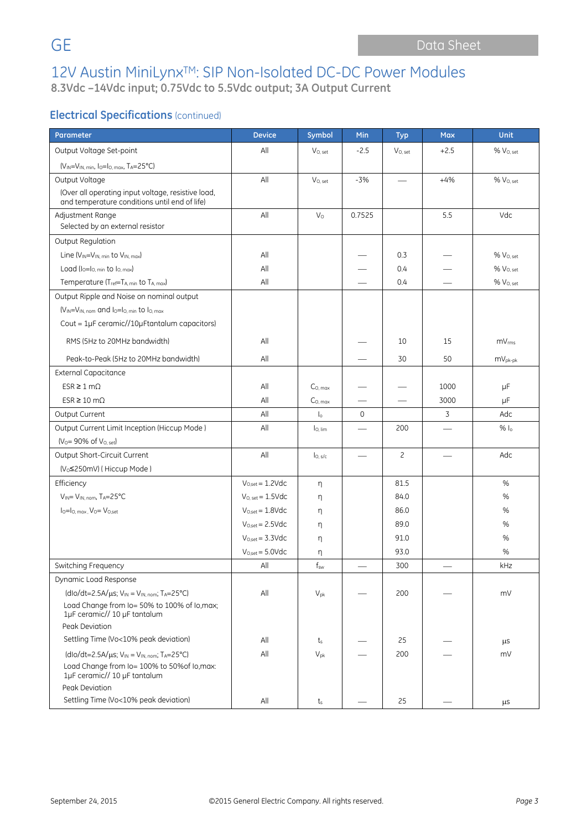### **Electrical Specifications (continued)**

| Parameter                                                                             | <b>Device</b>                | Symbol                   | Min                      | <b>Typ</b>   | <b>Max</b>               | <b>Unit</b>           |
|---------------------------------------------------------------------------------------|------------------------------|--------------------------|--------------------------|--------------|--------------------------|-----------------------|
| Output Voltage Set-point                                                              | All                          | $V_{O.}$ set             | $-2.5$                   | $V_{O.}$ set | $+2.5$                   | % V <sub>O. set</sub> |
| $(V_{IN} = V_{IN, min}, I_0 = I_{O, max}, T_A = 25°C)$                                |                              |                          |                          |              |                          |                       |
| Output Voltage                                                                        | All                          | $V_{O.}$ set             | $-3%$                    |              | $+4%$                    | % V <sub>O. set</sub> |
| (Over all operating input voltage, resistive load,                                    |                              |                          |                          |              |                          |                       |
| and temperature conditions until end of life)                                         | All                          |                          | 0.7525                   |              | 5.5                      | Vdc                   |
| Adjustment Range<br>Selected by an external resistor                                  |                              | $V_{\rm O}$              |                          |              |                          |                       |
| Output Regulation                                                                     |                              |                          |                          |              |                          |                       |
| Line $(V_{IN} = V_{IN. min}$ to $V_{IN. max}$ )                                       | All                          |                          |                          | 0.3          |                          | $% V_{O, set}$        |
| Load $(I_0 = I_0$ min to $I_0$ max)                                                   | All                          |                          |                          | 0.4          |                          | % V <sub>O, set</sub> |
| Temperature (Tref=TA, min to TA, max)                                                 | All                          |                          |                          | 0.4          |                          | % V <sub>O. set</sub> |
| Output Ripple and Noise on nominal output                                             |                              |                          |                          |              |                          |                       |
| $(V_{IN} = V_{IN, nom}$ and $I_0 = I_{O, min}$ to $I_{O, max}$                        |                              |                          |                          |              |                          |                       |
| Cout = $1\mu$ F ceramic//10 $\mu$ Ftantalum capacitors)                               |                              |                          |                          |              |                          |                       |
| RMS (5Hz to 20MHz bandwidth)                                                          | All                          |                          |                          | 10           | 15                       | mV <sub>rms</sub>     |
| Peak-to-Peak (5Hz to 20MHz bandwidth)                                                 | All                          |                          |                          | 30           | 50                       | $mV_{pk-pk}$          |
| <b>External Capacitance</b>                                                           |                              |                          |                          |              |                          |                       |
| $ESR \geq 1 \text{ mA}$                                                               | All                          | $C0$ max                 |                          |              | 1000                     | $\mu$ F               |
| $ESR \ge 10 \text{ m}\Omega$                                                          | All                          | $C0$ max                 |                          |              | 3000                     | μF                    |
| Output Current                                                                        | All                          | $\mathsf{I}_\circ$       | $\Omega$                 |              | 3                        | Adc                   |
| Output Current Limit Inception (Hiccup Mode)                                          | All                          | lo, lim                  | $\overline{\phantom{0}}$ | 200          | $\overline{\phantom{0}}$ | $%$ $ _0$             |
| $(V_0 = 90\% \text{ of } V_{0. \text{ set}})$                                         |                              |                          |                          |              |                          |                       |
| Output Short-Circuit Current                                                          | All                          | $I_{0, s/c}$             |                          | $\mathsf{S}$ |                          | Adc                   |
| (V <sub>0</sub> ≤250mV) ( Hiccup Mode )                                               |                              |                          |                          |              |                          |                       |
| Efficiency                                                                            | $V_{O,set} = 1.2 \text{Vdc}$ | n                        |                          | 81.5         |                          | %                     |
| VIN= VIN, nom, TA=25°C                                                                | $V_{O. set} = 1.5$ Vdc       | η                        |                          | 84.0         |                          | %                     |
| $I_0 = I_0$ . max. $V_0 = V_{0,\text{set}}$                                           | $V_{O,set} = 1.8$ Vdc        | η                        |                          | 86.0         |                          | %                     |
|                                                                                       | $V_{O.set} = 2.5 \text{Vdc}$ | η                        |                          | 89.0         |                          | %                     |
|                                                                                       | $V_{O,set} = 3.3 \text{Vdc}$ | η                        |                          | 91.0         |                          | %                     |
|                                                                                       | $V_{O,set} = 5.0$ Vdc        | η                        |                          | 93.0         |                          | %                     |
| Switching Frequency                                                                   | All                          | $\mathsf{f}_\mathsf{sw}$ |                          | 300          |                          | kHz                   |
| Dynamic Load Response                                                                 |                              |                          |                          |              |                          |                       |
| (dlo/dt=2.5A/ $\mu$ s; V <sub>IN</sub> = V <sub>IN, nom</sub> ; T <sub>A</sub> =25°C) | All                          | $V_{pk}$                 |                          | 200          |                          | mV                    |
| Load Change from Io= 50% to 100% of Io, max;<br>1µF ceramic// 10 µF tantalum          |                              |                          |                          |              |                          |                       |
| Peak Deviation                                                                        |                              |                          |                          |              |                          |                       |
| Settling Time (Vo<10% peak deviation)                                                 | All                          | ts                       |                          | 25           |                          | μS                    |
| $(dlo/dt=2.5A/\mu s; V_{IN}=V_{IN, nom}; T_A=25°C)$                                   | All                          | $V_{pk}$                 |                          | 200          |                          | mV                    |
| Load Change from Io= 100% to 50% of Io, max:<br>1µF ceramic// 10 µF tantalum          |                              |                          |                          |              |                          |                       |
| Peak Deviation                                                                        |                              |                          |                          |              |                          |                       |
| Settling Time (Vo<10% peak deviation)                                                 | All                          | $t_{\rm s}$              |                          | 25           |                          | μs                    |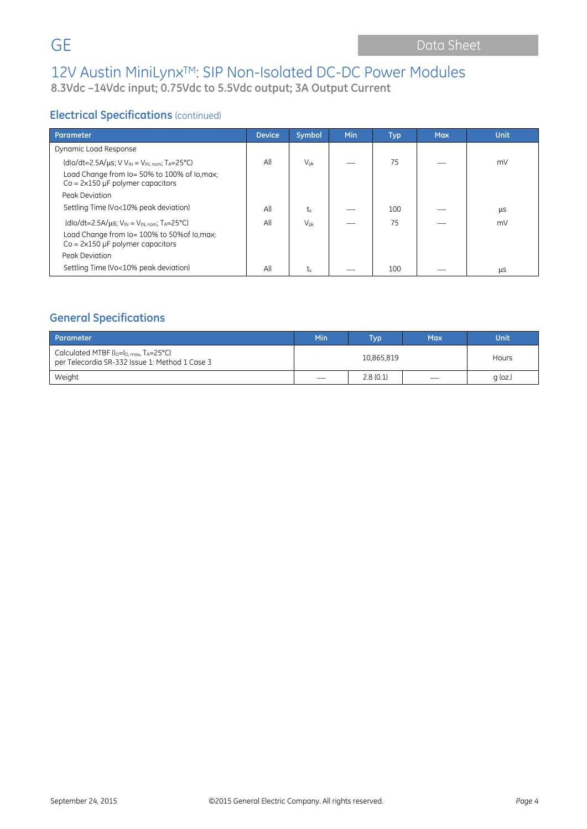### **Electrical Specifications** (continued)

| Parameter                                                                                    | <b>Device</b> | Symbol          | <b>Min</b> | <b>Typ</b> | <b>Max</b> | <b>Unit</b> |
|----------------------------------------------------------------------------------------------|---------------|-----------------|------------|------------|------------|-------------|
| Dynamic Load Response                                                                        |               |                 |            |            |            |             |
| (dlo/dt=2.5A/ $\mu$ s; V V <sub>IN</sub> = V <sub>IN, nom</sub> ; T <sub>A</sub> =25°C)      | All           | $V_{\text{pk}}$ |            | 75         |            | mV          |
| Load Change from Io= 50% to 100% of Io, max;<br>$Co = 2 \times 150 \mu F$ polymer capacitors |               |                 |            |            |            |             |
| Peak Deviation                                                                               |               |                 |            |            |            |             |
| Settling Time (Vo<10% peak deviation)                                                        | All           | t               |            | 100        |            | μS          |
| $(dlo/dt=2.5A/\mu s; VIN = VIN. nom; TA=25°C)$                                               | All           | $V_{\text{pk}}$ |            | 75         |            | mV          |
| Load Change from lo= 100% to 50% of lo.max:<br>$Co = 2 \times 150 \mu F$ polymer capacitors  |               |                 |            |            |            |             |
| Peak Deviation                                                                               |               |                 |            |            |            |             |
| Settling Time (Vo<10% peak deviation)                                                        | All           | t,              |            | 100        |            | μS          |

### **General Specifications**

| Parameter                                                                                                  | Min        | Typ'     | Max | Unit      |
|------------------------------------------------------------------------------------------------------------|------------|----------|-----|-----------|
| Calculated MTBF ( $I_0 = I_0$ max, $T_A = 25^{\circ}$ C)<br>per Telecordia SR-332 Issue 1: Method 1 Case 3 | 10,865,819 |          |     | Hours     |
| Weight                                                                                                     |            | 2.8(0.1) | --  | $q$ (oz.) |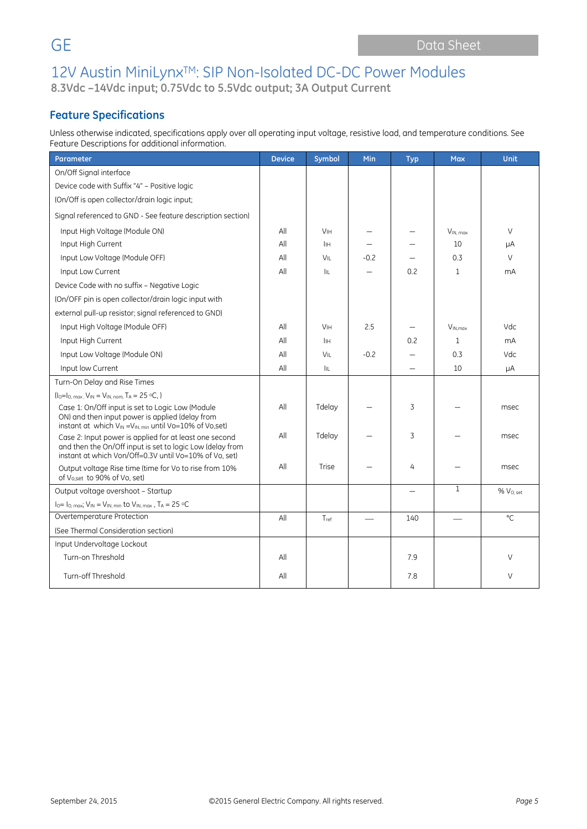### **Feature Specifications**

Unless otherwise indicated, specifications apply over all operating input voltage, resistive load, and temperature conditions. See Feature Descriptions for additional information.

| <b>Parameter</b>                                                                                                                                                                        | <b>Device</b> | Symbol                | Min    | <b>Typ</b>               | <b>Max</b>    | Unit                  |
|-----------------------------------------------------------------------------------------------------------------------------------------------------------------------------------------|---------------|-----------------------|--------|--------------------------|---------------|-----------------------|
| On/Off Signal interface                                                                                                                                                                 |               |                       |        |                          |               |                       |
| Device code with Suffix "4" - Positive logic                                                                                                                                            |               |                       |        |                          |               |                       |
| (On/Off is open collector/drain logic input;                                                                                                                                            |               |                       |        |                          |               |                       |
| Signal referenced to GND - See feature description section)                                                                                                                             |               |                       |        |                          |               |                       |
| Input High Voltage (Module ON)                                                                                                                                                          | All           | <b>V<sub>IH</sub></b> |        |                          | $V_{IN, max}$ | $\vee$                |
| Input High Current                                                                                                                                                                      | All           | İІН                   |        |                          | 10            | μA                    |
| Input Low Voltage (Module OFF)                                                                                                                                                          | All           | VIL                   | $-0.2$ |                          | 0.3           | $\vee$                |
| Input Low Current                                                                                                                                                                       | All           | IIL.                  |        | 0.2                      | $\mathbf{1}$  | mA                    |
| Device Code with no suffix - Negative Logic                                                                                                                                             |               |                       |        |                          |               |                       |
| (On/OFF pin is open collector/drain logic input with                                                                                                                                    |               |                       |        |                          |               |                       |
| external pull-up resistor; signal referenced to GND)                                                                                                                                    |               |                       |        |                          |               |                       |
| Input High Voltage (Module OFF)                                                                                                                                                         | All           | <b>V<sub>IH</sub></b> | 2.5    |                          | $V_{IN,max}$  | Vdc                   |
| Input High Current                                                                                                                                                                      | All           | İІН                   |        | 0.2                      | 1             | mA                    |
| Input Low Voltage (Module ON)                                                                                                                                                           | All           | VIL                   | $-0.2$ | $\qquad \qquad -$        | 0.3           | Vdc                   |
| Input low Current                                                                                                                                                                       | All           | lu.                   |        |                          | 10            | μA                    |
| Turn-On Delay and Rise Times                                                                                                                                                            |               |                       |        |                          |               |                       |
| $(I_0 = I_0$ , max, $V_{IN} = V_{IN, nom}$ , TA = 25 °C, )                                                                                                                              |               |                       |        |                          |               |                       |
| Case 1: On/Off input is set to Logic Low (Module<br>ON) and then input power is applied (delay from<br>instant at which V <sub>IN</sub> = V <sub>IN, min</sub> until Vo=10% of Vo, set) | All           | Tdelay                |        | 3                        |               | msec                  |
| Case 2: Input power is applied for at least one second<br>and then the On/Off input is set to logic Low (delay from<br>instant at which Von/Off=0.3V until Vo=10% of Vo, set)           | All           | Tdelay                |        | 3                        |               | msec                  |
| Output voltage Rise time (time for Vo to rise from 10%<br>of Vo, set to 90% of Vo, set)                                                                                                 | All           | Trise                 |        | 4                        |               | msec                  |
| Output voltage overshoot - Startup                                                                                                                                                      |               |                       |        | $\overline{\phantom{0}}$ | $\mathbf{1}$  | % V <sub>O, set</sub> |
| $I_0 = I_0$ , max; $V_{IN} = V_{IN}$ , min to $V_{IN}$ , max, TA = 25 °C                                                                                                                |               |                       |        |                          |               |                       |
| Overtemperature Protection                                                                                                                                                              | All           | $T_{ref}$             |        | 140                      |               | °C                    |
| (See Thermal Consideration section)                                                                                                                                                     |               |                       |        |                          |               |                       |
| Input Undervoltage Lockout                                                                                                                                                              |               |                       |        |                          |               |                       |
| Turn-on Threshold                                                                                                                                                                       | All           |                       |        | 7.9                      |               | $\vee$                |
| Turn-off Threshold                                                                                                                                                                      | All           |                       |        | 7.8                      |               | V                     |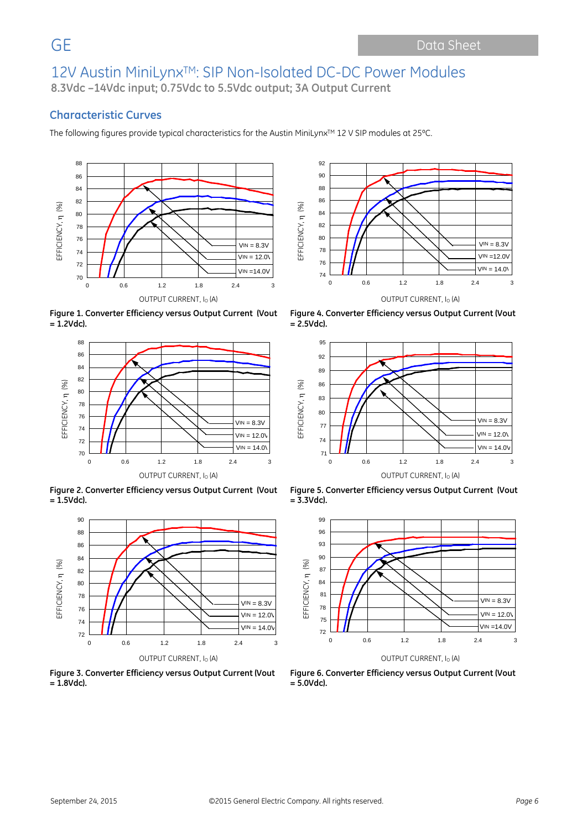92

### **Characteristic Curves**

The following figures provide typical characteristics for the Austin MiniLynx™ 12 V SIP modules at 25°C.





**Figure 1. Converter Efficiency versus Output Current (Vout = 1.2Vdc).**



**Figure 2. Converter Efficiency versus Output Current (Vout = 1.5Vdc).**



**Figure 3. Converter Efficiency versus Output Current (Vout = 1.8Vdc).**

**Figure 4. Converter Efficiency versus Output Current (Vout = 2.5Vdc).**



**Figure 5. Converter Efficiency versus Output Current (Vout = 3.3Vdc).**



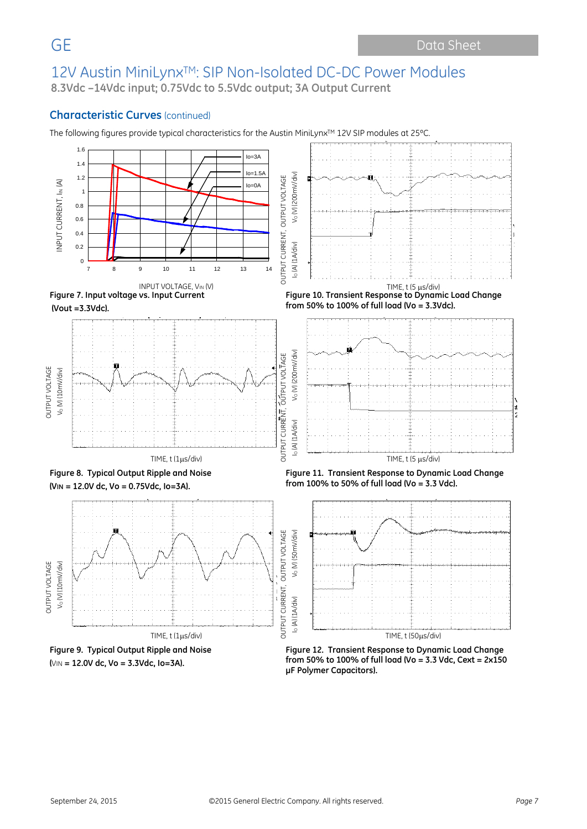### **Characteristic Curves** (continued)

The following figures provide typical characteristics for the Austin MiniLynx™ 12V SIP modules at 25°C.



**μF Polymer Capacitors).**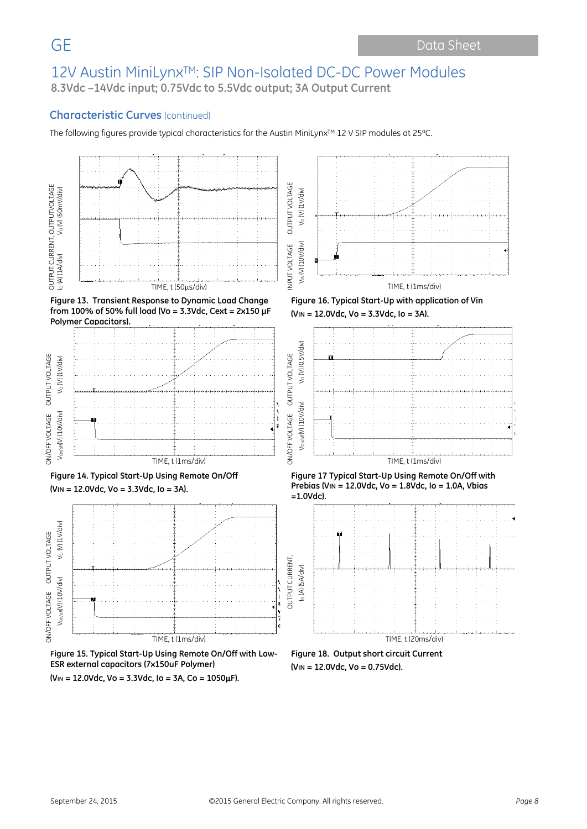### **Characteristic Curves** (continued)

The following figures provide typical characteristics for the Austin MiniLynx™ 12 V SIP modules at 25°C.





**(VIN = 12.0Vdc, Vo = 3.3Vdc, Io = 3A, Co = 1050**µ**F).**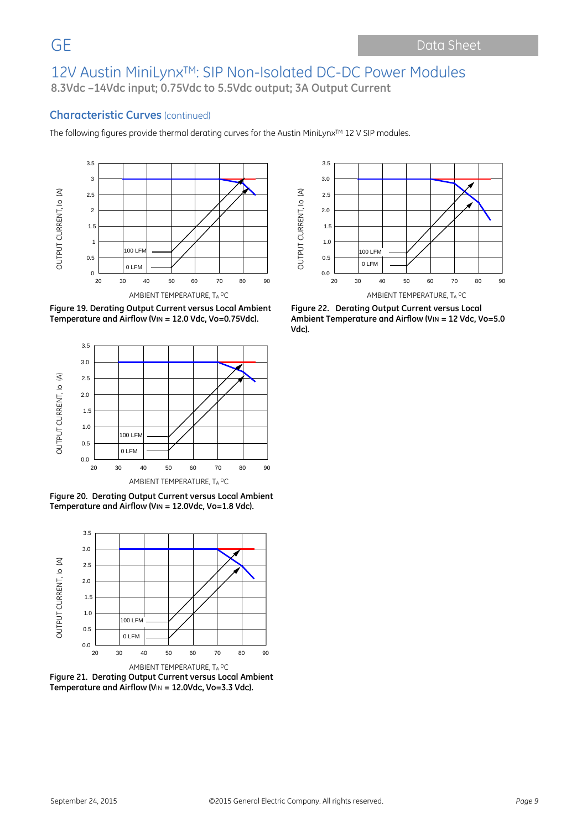### **Characteristic Curves** (continued)

The following figures provide thermal derating curves for the Austin MiniLynx™ 12 V SIP modules.





**Figure 19. Derating Output Current versus Local Ambient Temperature and Airflow (VIN = 12.0 Vdc, Vo=0.75Vdc).**



**Figure 20. Derating Output Current versus Local Ambient Temperature and Airflow (VIN = 12.0Vdc, Vo=1.8 Vdc).**



**Figure 21. Derating Output Current versus Local Ambient Temperature and Airflow (V**IN **= 12.0Vdc, Vo=3.3 Vdc).**

**Figure 22. Derating Output Current versus Local Ambient Temperature and Airflow (VIN = 12 Vdc, Vo=5.0 Vdc).**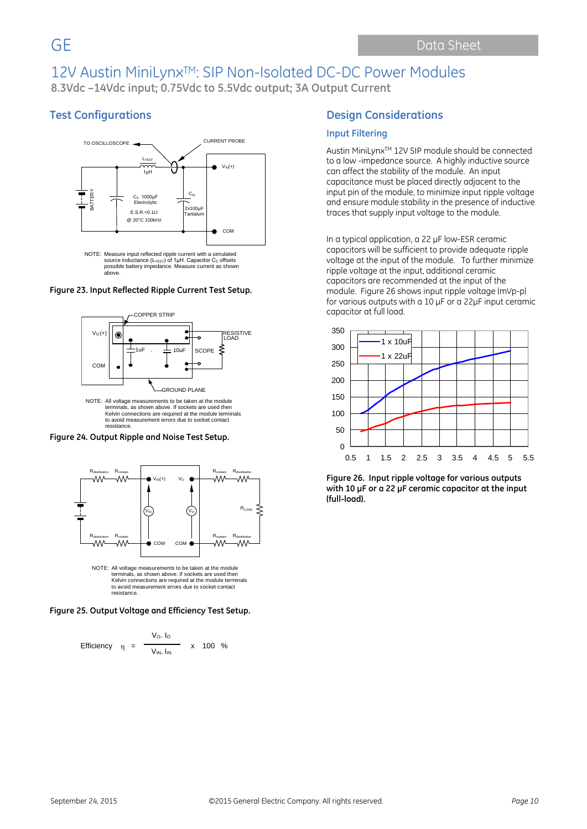### **Test Configurations**



#### **Figure 23. Input Reflected Ripple Current Test Setup.**



Kelvin connections are required at the module terminals to avoid measurement errors due to socket contact resistance.

**Figure 24. Output Ripple and Noise Test Setup.**



terminals, as shown above. If sockets are used then Kelvin connections are required at the module terminals to avoid measurement errors due to socket contact resistance.

**Figure 25. Output Voltage and Efficiency Test Setup.**

Efficiency 
$$
\eta = \frac{V_O. I_O}{V_{IN.} I_{IN}}
$$
 x 100 %

#### **Design Considerations**

#### **Input Filtering**

Austin MiniLynxTM 12V SIP module should be connected to a low -impedance source. A highly inductive source can affect the stability of the module. An input capacitance must be placed directly adjacent to the input pin of the module, to minimize input ripple voltage and ensure module stability in the presence of inductive traces that supply input voltage to the module.

In a typical application, a 22 µF low-ESR ceramic capacitors will be sufficient to provide adequate ripple voltage at the input of the module. To further minimize ripple voltage at the input, additional ceramic capacitors are recommended at the input of the module. Figure 26 shows input ripple voltage (mVp-p) for various outputs with a 10 µF or a 22µF input ceramic capacitor at full load.



**Figure 26. Input ripple voltage for various outputs with 10 µF or a 22 µF ceramic capacitor at the input (full-load).**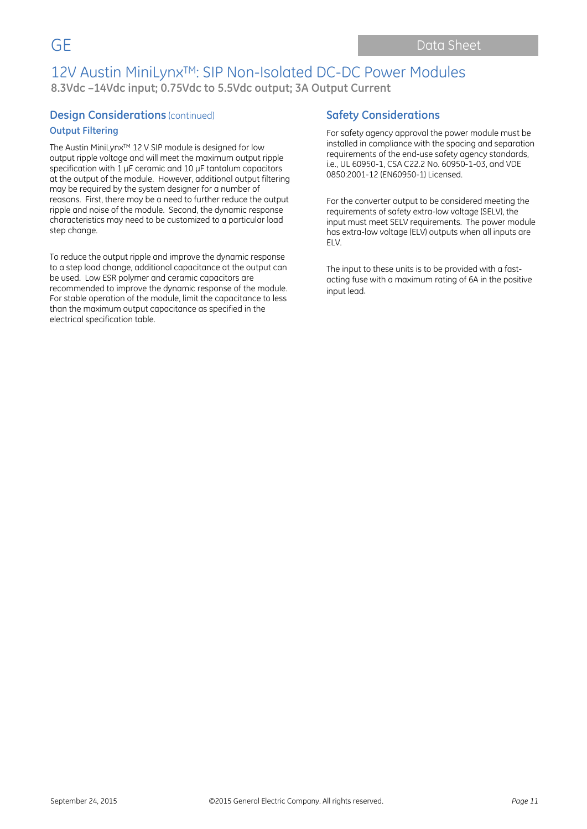### **Design Considerations** (continued)

#### **Output Filtering**

The Austin MiniLynx™ 12 V SIP module is designed for low output ripple voltage and will meet the maximum output ripple specification with 1 uF ceramic and 10 uF tantalum capacitors at the output of the module. However, additional output filtering may be required by the system designer for a number of reasons. First, there may be a need to further reduce the output ripple and noise of the module. Second, the dynamic response characteristics may need to be customized to a particular load step change.

To reduce the output ripple and improve the dynamic response to a step load change, additional capacitance at the output can be used. Low ESR polymer and ceramic capacitors are recommended to improve the dynamic response of the module. For stable operation of the module, limit the capacitance to less than the maximum output capacitance as specified in the electrical specification table.

### **Safety Considerations**

For safety agency approval the power module must be installed in compliance with the spacing and separation requirements of the end-use safety agency standards, i.e., UL 60950-1, CSA C22.2 No. 60950-1-03, and VDE 0850:2001-12 (EN60950-1) Licensed.

For the converter output to be considered meeting the requirements of safety extra-low voltage (SELV), the input must meet SELV requirements. The power module has extra-low voltage (ELV) outputs when all inputs are ELV.

The input to these units is to be provided with a fastacting fuse with a maximum rating of 6A in the positive input lead.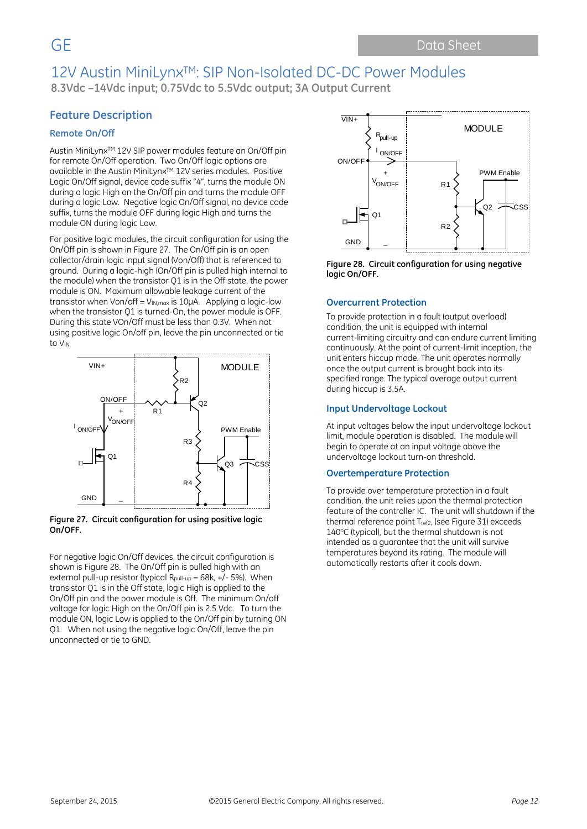### **Feature Description**

#### **Remote On/Off**

Austin MiniLynxTM 12V SIP power modules feature an On/Off pin for remote On/Off operation. Two On/Off logic options are available in the Austin MiniLynx™ 12V series modules. Positive Logic On/Off signal, device code suffix "4", turns the module ON during a logic High on the On/Off pin and turns the module OFF during a logic Low. Negative logic On/Off signal, no device code suffix, turns the module OFF during logic High and turns the module ON during logic Low.

For positive logic modules, the circuit configuration for using the On/Off pin is shown in Figure 27. The On/Off pin is an open collector/drain logic input signal (Von/Off) that is referenced to ground. During a logic-high (On/Off pin is pulled high internal to the module) when the transistor Q1 is in the Off state, the power module is ON. Maximum allowable leakage current of the transistor when Von/off =  $V_{IN,max}$  is 10 $\mu$ A. Applying a logic-low when the transistor Q1 is turned-On, the power module is OFF. During this state VOn/Off must be less than 0.3V. When not using positive logic On/off pin, leave the pin unconnected or tie to VIN.



#### **Figure 27. Circuit configuration for using positive logic On/OFF.**

For negative logic On/Off devices, the circuit configuration is shown is Figure 28. The On/Off pin is pulled high with an external pull-up resistor (typical Rpull-up =  $68k$ ,  $+/-5%$ ). When transistor Q1 is in the Off state, logic High is applied to the On/Off pin and the power module is Off. The minimum On/off voltage for logic High on the On/Off pin is 2.5 Vdc. To turn the module ON, logic Low is applied to the On/Off pin by turning ON Q1. When not using the negative logic On/Off, leave the pin unconnected or tie to GND.



**Figure 28. Circuit configuration for using negative logic On/OFF.**

#### **Overcurrent Protection**

To provide protection in a fault (output overload) condition, the unit is equipped with internal current-limiting circuitry and can endure current limiting continuously. At the point of current-limit inception, the unit enters hiccup mode. The unit operates normally once the output current is brought back into its specified range. The typical average output current during hiccup is 3.5A.

#### **Input Undervoltage Lockout**

At input voltages below the input undervoltage lockout limit, module operation is disabled. The module will begin to operate at an input voltage above the undervoltage lockout turn-on threshold.

#### **Overtemperature Protection**

To provide over temperature protection in a fault condition, the unit relies upon the thermal protection feature of the controller IC. The unit will shutdown if the thermal reference point Tref2, (see Figure 31) exceeds 140°C (typical), but the thermal shutdown is not intended as a guarantee that the unit will survive temperatures beyond its rating. The module will automatically restarts after it cools down.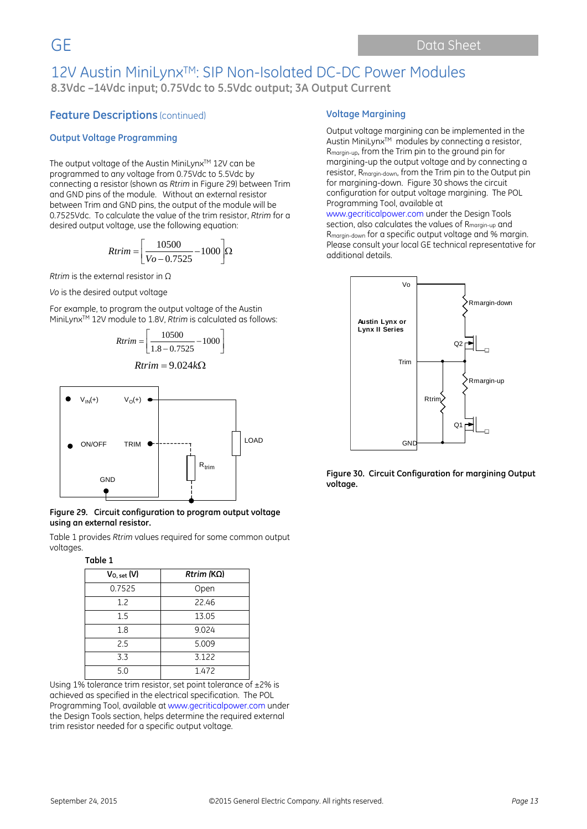### **Feature Descriptions** (continued)

#### **Output Voltage Programming**

The output voltage of the Austin MiniLynx™ 12V can be programmed to any voltage from 0.75Vdc to 5.5Vdc by connecting a resistor (shown as *Rtrim* in Figure 29) between Trim and GND pins of the module. Without an external resistor between Trim and GND pins, the output of the module will be 0.7525Vdc. To calculate the value of the trim resistor, *Rtrim* for a desired output voltage, use the following equation:

$$
Rtrim = \left[\frac{10500}{Vo - 0.7525} - 1000\right] \Omega
$$

*Rtrim* is the external resistor in Ω

*Vo* is the desired output voltage

For example, to program the output voltage of the Austin MiniLynxTM 12V module to 1.8V, *Rtrim* is calculated as follows:

$$
Rtrim = \left[ \frac{10500}{1.8 - 0.7525} - 1000 \right]
$$

$$
Rtrim = 9.024k\Omega
$$



#### **Figure 29. Circuit configuration to program output voltage using an external resistor.**

Table 1 provides *Rtrim* values required for some common output voltages.

#### **Table 1**

| $V_{O, set}(V)$ | $Rtrim (K\Omega)$ |
|-----------------|-------------------|
| 0.7525          | Open              |
| 1.2             | 22.46             |
| 1.5             | 13.05             |
| 1.8             | 9.024             |
| 25              | 5.009             |
| 3.3             | 3.122             |
| 5.0             | 1.472             |

Using 1% tolerance trim resistor, set point tolerance of ±2% is achieved as specified in the electrical specification. The POL Programming Tool, available at www.gecriticalpower.com under the Design Tools section, helps determine the required external trim resistor needed for a specific output voltage.

#### **Voltage Margining**

Output voltage margining can be implemented in the Austin MiniLynx<sup>™</sup> modules by connecting a resistor, Rmargin-up, from the Trim pin to the ground pin for margining-up the output voltage and by connecting a resistor, Rmargin-down, from the Trim pin to the Output pin for margining-down. Figure 30 shows the circuit configuration for output voltage margining. The POL Programming Tool, available at www.gecriticalpower.com under the Design Tools section, also calculates the values of R<sub>margin-up</sub> and Rmargin-down for a specific output voltage and % margin. Please consult your local GE technical representative for additional details.



**Figure 30. Circuit Configuration for margining Output voltage.**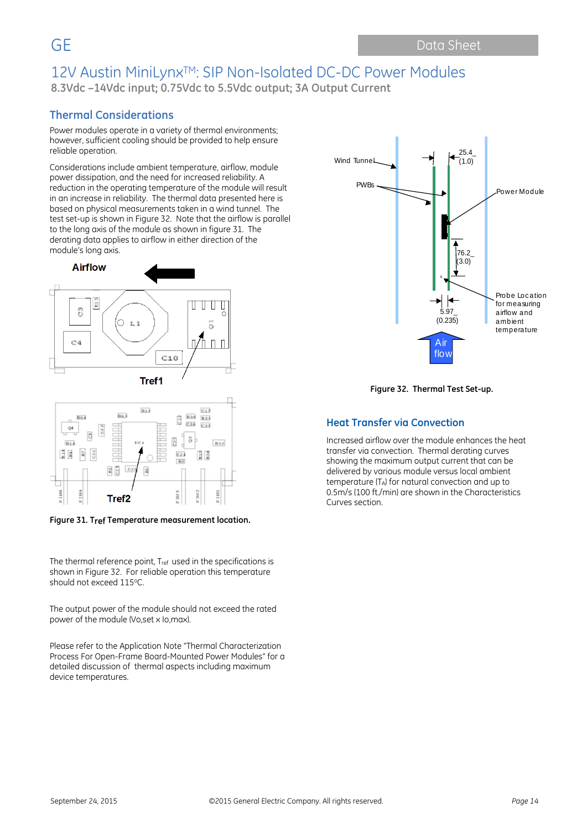### **Thermal Considerations**

Power modules operate in a variety of thermal environments; however, sufficient cooling should be provided to help ensure reliable operation.

Considerations include ambient temperature, airflow, module power dissipation, and the need for increased reliability. A reduction in the operating temperature of the module will result in an increase in reliability. The thermal data presented here is based on physical measurements taken in a wind tunnel. The test set-up is shown in Figure 32. Note that the airflow is parallel to the long axis of the module as shown in figure 31. The derating data applies to airflow in either direction of the module's long axis.





**Figure 31. Tref Temperature measurement location.**

The thermal reference point, Tref used in the specifications is shown in Figure 32. For reliable operation this temperature should not exceed 115°C.

The output power of the module should not exceed the rated power of the module (Vo,set x Io,max).

Please refer to the Application Note "Thermal Characterization Process For Open-Frame Board-Mounted Power Modules" for a detailed discussion of thermal aspects including maximum device temperatures.



**Figure 32. Thermal Test Set-up.**

#### **Heat Transfer via Convection**

Increased airflow over the module enhances the heat transfer via convection. Thermal derating curves showing the maximum output current that can be delivered by various module versus local ambient temperature (TA) for natural convection and up to 0.5m/s (100 ft./min) are shown in the Characteristics Curves section.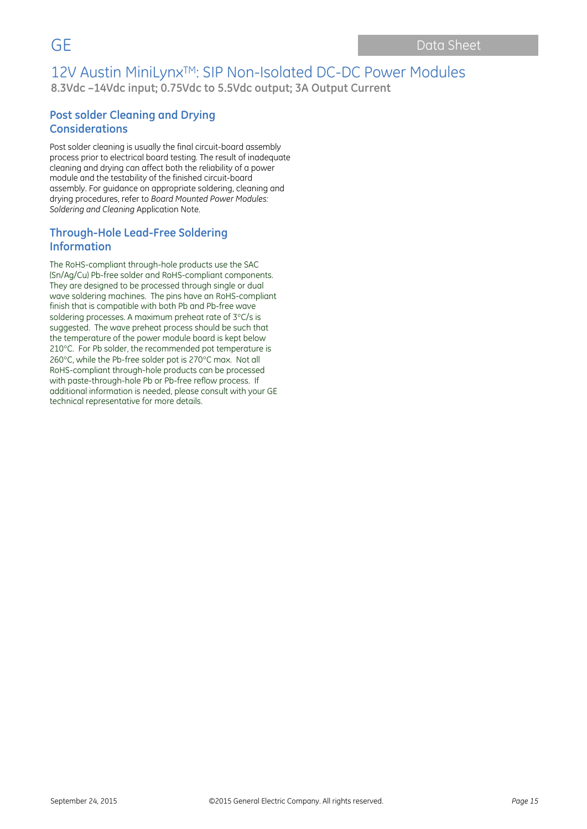### **Post solder Cleaning and Drying Considerations**

Post solder cleaning is usually the final circuit-board assembly process prior to electrical board testing. The result of inadequate cleaning and drying can affect both the reliability of a power module and the testability of the finished circuit-board assembly. For guidance on appropriate soldering, cleaning and drying procedures, refer to *Board Mounted Power Modules: Soldering and Cleaning* Application Note.

### **Through-Hole Lead-Free Soldering Information**

The RoHS-compliant through-hole products use the SAC (Sn/Ag/Cu) Pb-free solder and RoHS-compliant components. They are designed to be processed through single or dual wave soldering machines. The pins have an RoHS-compliant finish that is compatible with both Pb and Pb-free wave soldering processes. A maximum preheat rate of 3°C/s is suggested. The wave preheat process should be such that the temperature of the power module board is kept below 210°C. For Pb solder, the recommended pot temperature is 260°C, while the Pb-free solder pot is 270°C max. Not all RoHS-compliant through-hole products can be processed with paste-through-hole Pb or Pb-free reflow process. If additional information is needed, please consult with your GE technical representative for more details.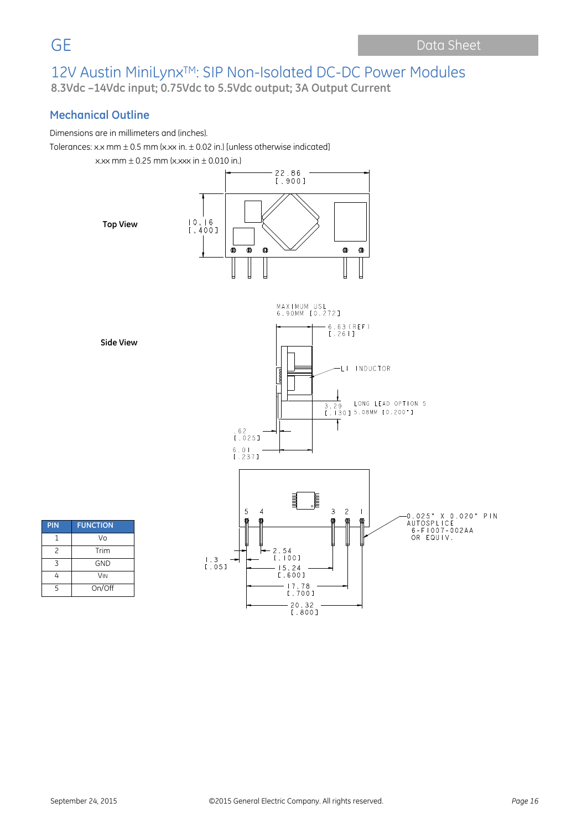### **Mechanical Outline**

Dimensions are in millimeters and (inches).

Tolerances: x.x mm  $\pm$  0.5 mm (x.xx in.  $\pm$  0.02 in.) [unless otherwise indicated]

 $x.$ xx mm  $\pm$  0.25 mm (x.xxx in  $\pm$  0.010 in.)



**Side View**

| 6.63(REF)<br>[.26 ]                                                                                                                                                                                                                                                                                                                                           |
|---------------------------------------------------------------------------------------------------------------------------------------------------------------------------------------------------------------------------------------------------------------------------------------------------------------------------------------------------------------|
| <b>INDUCTOR</b><br>$\Box$<br>$\frac{1}{2}$<br>LONG LEAD OPTION 5<br>3.29<br>[.130] 5.08MM [0.200"]<br>$: 62$<br>[.025]<br>6.01<br>[.237]                                                                                                                                                                                                                      |
|                                                                                                                                                                                                                                                                                                                                                               |
| $\frac{1}{\text{limit}}$<br>目目<br>$\mathfrak{Z}$<br>$\overline{c}$<br>5<br>$\overline{4}$<br>$\mathsf{I}$<br>0.025" X 0.020" PIN<br>⋒<br>佪<br>働<br>儞<br>α<br><b>AUTOSPLICE</b><br>$6 - F 1 007 - 002AA$<br>OR EQUIV.<br>$-2.54$<br>[.100]<br>$\begin{smallmatrix} 1 & 3 \\ 1 & 05 \end{smallmatrix}$<br>15.24<br>[.600]<br>17.78<br>[.700]<br>20.32<br>[.800] |

MAXIMUM USL<br>6.90MM [0.272]

| PIN           | <b>FUNCTION</b>       |
|---------------|-----------------------|
| 1             | Vo                    |
| $\mathcal{P}$ | Trim                  |
| 7             | GND                   |
| 4             | <b>V<sub>IN</sub></b> |
| 5             | On/Off                |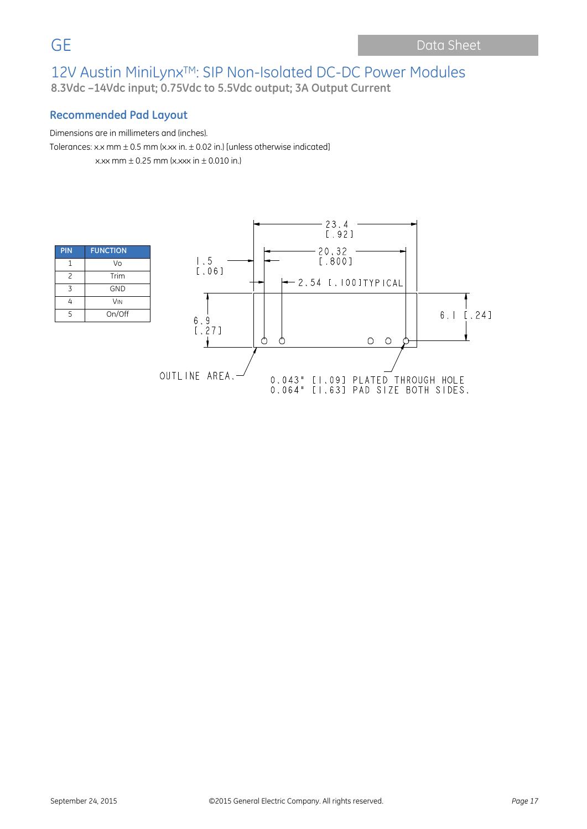### **Recommended Pad Layout**

Dimensions are in millimeters and (inches). Tolerances: x.x mm  $\pm$  0.5 mm (x.xx in.  $\pm$  0.02 in.) [unless otherwise indicated]  $x \times x$  mm + 0.25 mm ( $x \times x$  in + 0.010 in.)

| PIN                      | <b>FUNCTION</b>       |
|--------------------------|-----------------------|
| 1                        | Vo                    |
| $\overline{\phantom{0}}$ | Trim                  |
| 3                        | <b>GND</b>            |
| Δ                        | <b>V<sub>IN</sub></b> |
| 5                        | On/Off                |